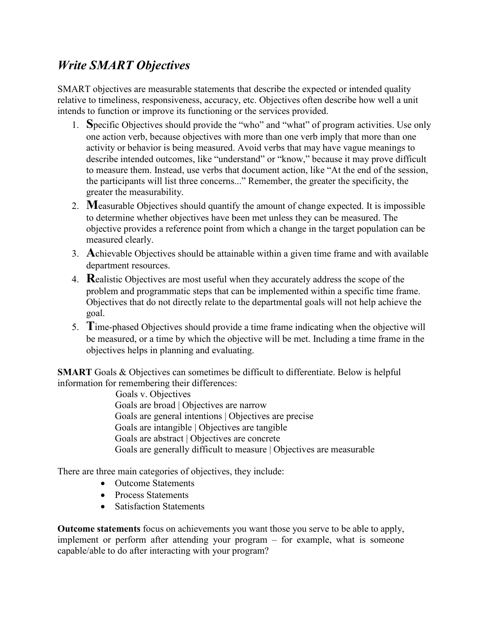## *Write SMART Objectives*

SMART objectives are measurable statements that describe the expected or intended quality relative to timeliness, responsiveness, accuracy, etc. Objectives often describe how well a unit intends to function or improve its functioning or the services provided.

- 1. **S**pecific Objectives should provide the "who" and "what" of program activities. Use only one action verb, because objectives with more than one verb imply that more than one activity or behavior is being measured. Avoid verbs that may have vague meanings to describe intended outcomes, like "understand" or "know," because it may prove difficult to measure them. Instead, use verbs that document action, like "At the end of the session, the participants will list three concerns..." Remember, the greater the specificity, the greater the measurability.
- 2. **M**easurable Objectives should quantify the amount of change expected. It is impossible to determine whether objectives have been met unless they can be measured. The objective provides a reference point from which a change in the target population can be measured clearly.
- 3. **A**chievable Objectives should be attainable within a given time frame and with available department resources.
- 4. **R**ealistic Objectives are most useful when they accurately address the scope of the problem and programmatic steps that can be implemented within a specific time frame. Objectives that do not directly relate to the departmental goals will not help achieve the goal.
- 5. **T**ime-phased Objectives should provide a time frame indicating when the objective will be measured, or a time by which the objective will be met. Including a time frame in the objectives helps in planning and evaluating.

**SMART** Goals & Objectives can sometimes be difficult to differentiate. Below is helpful information for remembering their differences:

> Goals v. Objectives Goals are broad | Objectives are narrow Goals are general intentions | Objectives are precise Goals are intangible | Objectives are tangible Goals are abstract | Objectives are concrete Goals are generally difficult to measure | Objectives are measurable

There are three main categories of objectives, they include:

- Outcome Statements
- Process Statements
- Satisfaction Statements

**Outcome statements** focus on achievements you want those you serve to be able to apply, implement or perform after attending your program – for example, what is someone capable/able to do after interacting with your program?